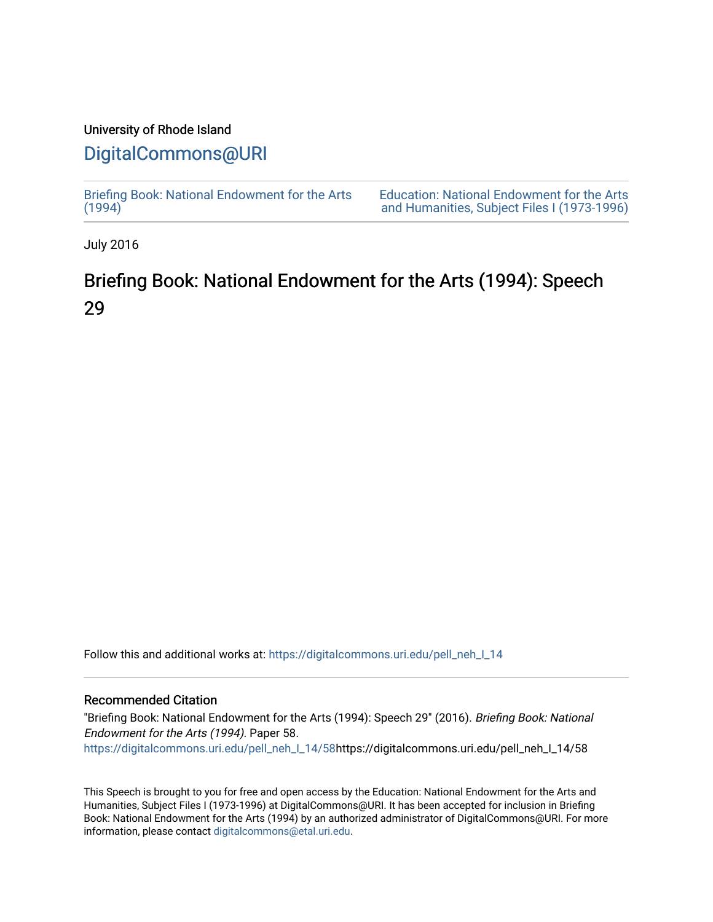## University of Rhode Island

## [DigitalCommons@URI](https://digitalcommons.uri.edu/)

[Briefing Book: National Endowment for the Arts](https://digitalcommons.uri.edu/pell_neh_I_14)  $(1994)$ 

[Education: National Endowment for the Arts](https://digitalcommons.uri.edu/pell_neh_I)  [and Humanities, Subject Files I \(1973-1996\)](https://digitalcommons.uri.edu/pell_neh_I) 

July 2016

## Briefing Book: National Endowment for the Arts (1994): Speech 29

Follow this and additional works at: [https://digitalcommons.uri.edu/pell\\_neh\\_I\\_14](https://digitalcommons.uri.edu/pell_neh_I_14?utm_source=digitalcommons.uri.edu%2Fpell_neh_I_14%2F58&utm_medium=PDF&utm_campaign=PDFCoverPages) 

## Recommended Citation

"Briefing Book: National Endowment for the Arts (1994): Speech 29" (2016). Briefing Book: National Endowment for the Arts (1994). Paper 58. [https://digitalcommons.uri.edu/pell\\_neh\\_I\\_14/58h](https://digitalcommons.uri.edu/pell_neh_I_14/58?utm_source=digitalcommons.uri.edu%2Fpell_neh_I_14%2F58&utm_medium=PDF&utm_campaign=PDFCoverPages)ttps://digitalcommons.uri.edu/pell\_neh\_I\_14/58

This Speech is brought to you for free and open access by the Education: National Endowment for the Arts and Humanities, Subject Files I (1973-1996) at DigitalCommons@URI. It has been accepted for inclusion in Briefing Book: National Endowment for the Arts (1994) by an authorized administrator of DigitalCommons@URI. For more information, please contact [digitalcommons@etal.uri.edu.](mailto:digitalcommons@etal.uri.edu)